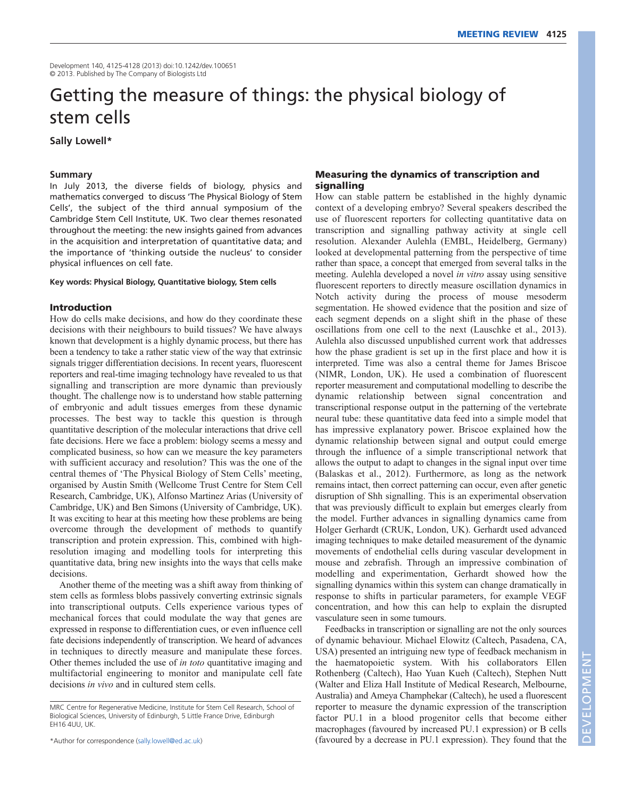Development 140, 4125-4128 (2013) doi:10.1242/dev.100651 © 2013. Published by The Company of Biologists Ltd

# Getting the measure of things: the physical biology of stem cells

**Sally Lowell\***

# **Summary**

In July 2013, the diverse fields of biology, physics and mathematics converged to discuss 'The Physical Biology of Stem Cells', the subject of the third annual symposium of the Cambridge Stem Cell Institute, UK. Two clear themes resonated throughout the meeting: the new insights gained from advances in the acquisition and interpretation of quantitative data; and the importance of 'thinking outside the nucleus' to consider physical influences on cell fate.

## **Key words: Physical Biology, Quantitative biology, Stem cells**

# **Introduction**

How do cells make decisions, and how do they coordinate these decisions with their neighbours to build tissues? We have always known that development is a highly dynamic process, but there has been a tendency to take a rather static view of the way that extrinsic signals trigger differentiation decisions. In recent years, fluorescent reporters and real-time imaging technology have revealed to us that signalling and transcription are more dynamic than previously thought. The challenge now is to understand how stable patterning of embryonic and adult tissues emerges from these dynamic processes. The best way to tackle this question is through quantitative description of the molecular interactions that drive cell fate decisions. Here we face a problem: biology seems a messy and complicated business, so how can we measure the key parameters with sufficient accuracy and resolution? This was the one of the central themes of 'The Physical Biology of Stem Cells' meeting, organised by Austin Smith (Wellcome Trust Centre for Stem Cell Research, Cambridge, UK), Alfonso Martinez Arias (University of Cambridge, UK) and Ben Simons (University of Cambridge, UK). It was exciting to hear at this meeting how these problems are being overcome through the development of methods to quantify transcription and protein expression. This, combined with highresolution imaging and modelling tools for interpreting this quantitative data, bring new insights into the ways that cells make decisions.

Another theme of the meeting was a shift away from thinking of stem cells as formless blobs passively converting extrinsic signals into transcriptional outputs. Cells experience various types of mechanical forces that could modulate the way that genes are expressed in response to differentiation cues, or even influence cell fate decisions independently of transcription. We heard of advances in techniques to directly measure and manipulate these forces. Other themes included the use of *in toto* quantitative imaging and multifactorial engineering to monitor and manipulate cell fate decisions *in vivo* and in cultured stem cells.

\*Author for correspondence (sally.lowell@ed.ac.uk)

# **Measuring the dynamics of transcription and signalling**

How can stable pattern be established in the highly dynamic context of a developing embryo? Several speakers described the use of fluorescent reporters for collecting quantitative data on transcription and signalling pathway activity at single cell resolution. Alexander Aulehla (EMBL, Heidelberg, Germany) looked at developmental patterning from the perspective of time rather than space, a concept that emerged from several talks in the meeting. Aulehla developed a novel *in vitro* assay using sensitive fluorescent reporters to directly measure oscillation dynamics in Notch activity during the process of mouse mesoderm segmentation. He showed evidence that the position and size of each segment depends on a slight shift in the phase of these oscillations from one cell to the next (Lauschke et al., 2013). Aulehla also discussed unpublished current work that addresses how the phase gradient is set up in the first place and how it is interpreted. Time was also a central theme for James Briscoe (NIMR, London, UK). He used a combination of fluorescent reporter measurement and computational modelling to describe the dynamic relationship between signal concentration and transcriptional response output in the patterning of the vertebrate neural tube: these quantitative data feed into a simple model that has impressive explanatory power. Briscoe explained how the dynamic relationship between signal and output could emerge through the influence of a simple transcriptional network that allows the output to adapt to changes in the signal input over time (Balaskas et al., 2012). Furthermore, as long as the network remains intact, then correct patterning can occur, even after genetic disruption of Shh signalling. This is an experimental observation that was previously difficult to explain but emerges clearly from the model. Further advances in signalling dynamics came from Holger Gerhardt (CRUK, London, UK). Gerhardt used advanced imaging techniques to make detailed measurement of the dynamic movements of endothelial cells during vascular development in mouse and zebrafish. Through an impressive combination of modelling and experimentation, Gerhardt showed how the signalling dynamics within this system can change dramatically in response to shifts in particular parameters, for example VEGF concentration, and how this can help to explain the disrupted vasculature seen in some tumours.

Feedbacks in transcription or signalling are not the only sources of dynamic behaviour. Michael Elowitz (Caltech, Pasadena, CA, USA) presented an intriguing new type of feedback mechanism in the haematopoietic system. With his collaborators Ellen Rothenberg (Caltech), Hao Yuan Kueh (Caltech), Stephen Nutt (Walter and Eliza Hall Institute of Medical Research, Melbourne, Australia) and Ameya Champhekar (Caltech), he used a fluorescent reporter to measure the dynamic expression of the transcription factor PU.1 in a blood progenitor cells that become either macrophages (favoured by increased PU.1 expression) or B cells (favoured by a decrease in PU.1 expression). They found that the

MRC Centre for Regenerative Medicine, Institute for Stem Cell Research, School of Biological Sciences, University of Edinburgh, 5 Little France Drive, Edinburgh EH16 4UU, UK.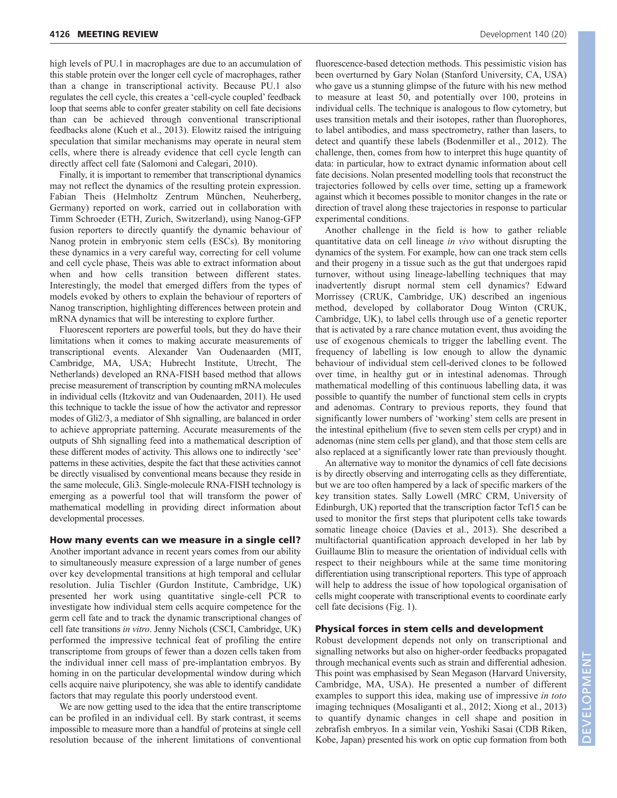high levels of PU.1 in macrophages are due to an accumulation of this stable protein over the longer cell cycle of macrophages, rather than a change in transcriptional activity. Because PU.1 also regulates the cell cycle, this creates a 'cell-cycle coupled' feedback loop that seems able to confer greater stability on cell fate decisions than can be achieved through conventional transcriptional feedbacks alone (Kueh et al., 2013). Elowitz raised the intriguing speculation that similar mechanisms may operate in neural stem cells, where there is already evidence that cell cycle length can directly affect cell fate (Salomoni and Calegari, 2010).

Finally, it is important to remember that transcriptional dynamics may not reflect the dynamics of the resulting protein expression. Fabian Theis (Helmholtz Zentrum München, Neuherberg, Germany) reported on work, carried out in collaboration with Timm Schroeder (ETH, Zurich, Switzerland), using Nanog-GFP fusion reporters to directly quantify the dynamic behaviour of Nanog protein in embryonic stem cells (ESCs). By monitoring these dynamics in a very careful way, correcting for cell volume and cell cycle phase, Theis was able to extract information about when and how cells transition between different states. Interestingly, the model that emerged differs from the types of models evoked by others to explain the behaviour of reporters of Nanog transcription, highlighting differences between protein and mRNA dynamics that will be interesting to explore further.

Fluorescent reporters are powerful tools, but they do have their limitations when it comes to making accurate measurements of transcriptional events. Alexander Van Oudenaarden (MIT, Cambridge, MA, USA; Hubrecht Institute, Utrecht, The Netherlands) developed an RNA-FISH based method that allows precise measurement of transcription by counting mRNA molecules in individual cells (Itzkovitz and van Oudenaarden, 2011). He used this technique to tackle the issue of how the activator and repressor modes of Gli2/3, a mediator of Shh signalling, are balanced in order to achieve appropriate patterning. Accurate measurements of the outputs of Shh signalling feed into a mathematical description of these different modes of activity. This allows one to indirectly 'see' patterns in these activities, despite the fact that these activities cannot be directly visualised by conventional means because they reside in the same molecule, Gli3. Single-molecule RNA-FISH technology is emerging as a powerful tool that will transform the power of mathematical modelling in providing direct information about developmental processes.

# **How many events can we measure in a single cell?**

Another important advance in recent years comes from our ability to simultaneously measure expression of a large number of genes over key developmental transitions at high temporal and cellular resolution. Julia Tischler (Gurdon Institute, Cambridge, UK) presented her work using quantitative single-cell PCR to investigate how individual stem cells acquire competence for the germ cell fate and to track the dynamic transcriptional changes of cell fate transitions *in vitro*. Jenny Nichols (CSCI, Cambridge, UK) performed the impressive technical feat of profiling the entire transcriptome from groups of fewer than a dozen cells taken from the individual inner cell mass of pre-implantation embryos. By homing in on the particular developmental window during which cells acquire naive pluripotency, she was able to identify candidate factors that may regulate this poorly understood event.

We are now getting used to the idea that the entire transcriptome can be profiled in an individual cell. By stark contrast, it seems impossible to measure more than a handful of proteins at single cell resolution because of the inherent limitations of conventional fluorescence-based detection methods. This pessimistic vision has been overturned by Gary Nolan (Stanford University, CA, USA) who gave us a stunning glimpse of the future with his new method to measure at least 50, and potentially over 100, proteins in individual cells. The technique is analogous to flow cytometry, but uses transition metals and their isotopes, rather than fluorophores, to label antibodies, and mass spectrometry, rather than lasers, to detect and quantify these labels (Bodenmiller et al., 2012). The challenge, then, comes from how to interpret this huge quantity of data: in particular, how to extract dynamic information about cell fate decisions. Nolan presented modelling tools that reconstruct the trajectories followed by cells over time, setting up a framework against which it becomes possible to monitor changes in the rate or direction of travel along these trajectories in response to particular experimental conditions.

Another challenge in the field is how to gather reliable quantitative data on cell lineage *in vivo* without disrupting the dynamics of the system. For example, how can one track stem cells and their progeny in a tissue such as the gut that undergoes rapid turnover, without using lineage-labelling techniques that may inadvertently disrupt normal stem cell dynamics? Edward Morrissey (CRUK, Cambridge, UK) described an ingenious method, developed by collaborator Doug Winton (CRUK, Cambridge, UK), to label cells through use of a genetic reporter that is activated by a rare chance mutation event, thus avoiding the use of exogenous chemicals to trigger the labelling event. The frequency of labelling is low enough to allow the dynamic behaviour of individual stem cell-derived clones to be followed over time, in healthy gut or in intestinal adenomas. Through mathematical modelling of this continuous labelling data, it was possible to quantify the number of functional stem cells in crypts and adenomas. Contrary to previous reports, they found that significantly lower numbers of 'working' stem cells are present in the intestinal epithelium (five to seven stem cells per crypt) and in adenomas (nine stem cells per gland), and that those stem cells are also replaced at a significantly lower rate than previously thought.

An alternative way to monitor the dynamics of cell fate decisions is by directly observing and interrogating cells as they differentiate, but we are too often hampered by a lack of specific markers of the key transition states. Sally Lowell (MRC CRM, University of Edinburgh, UK) reported that the transcription factor Tcf15 can be used to monitor the first steps that pluripotent cells take towards somatic lineage choice (Davies et al., 2013). She described a multifactorial quantification approach developed in her lab by Guillaume Blin to measure the orientation of individual cells with respect to their neighbours while at the same time monitoring differentiation using transcriptional reporters. This type of approach will help to address the issue of how topological organisation of cells might cooperate with transcriptional events to coordinate early cell fate decisions (Fig. 1).

## **Physical forces in stem cells and development**

Robust development depends not only on transcriptional and signalling networks but also on higher-order feedbacks propagated through mechanical events such as strain and differential adhesion. This point was emphasised by Sean Megason (Harvard University, Cambridge, MA, USA). He presented a number of different examples to support this idea, making use of impressive *in toto* imaging techniques (Mosaliganti et al., 2012; Xiong et al., 2013) to quantify dynamic changes in cell shape and position in zebrafish embryos. In a similar vein, Yoshiki Sasai (CDB Riken, Kobe, Japan) presented his work on optic cup formation from both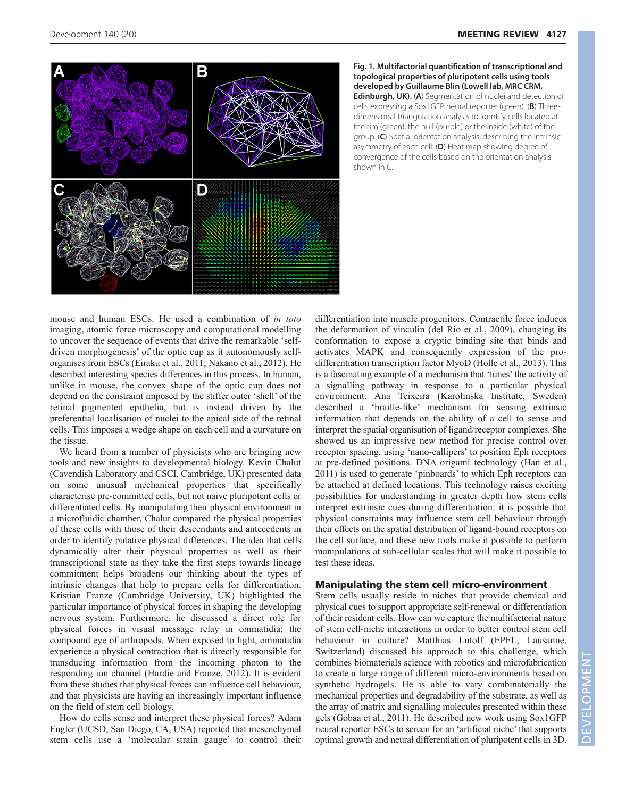

**Fig. 1. Multifactorial quantification of transcriptional and topological properties of pluripotent cells using tools developed by Guillaume Blin (Lowell lab, MRC CRM, Edinburgh, UK).** (**A**) Segmentation of nuclei and detection of cells expressing a Sox1GFP neural reporter (green). (**B**) Threedimensional triangulation analysis to identify cells located at the rim (green), the hull (purple) or the inside (white) of the group. (**C**) Spatial orientation analysis, describing the intrinsic asymmetry of each cell. (**D**) Heat map showing degree of convergence of the cells based on the orientation analysis shown in C.

mouse and human ESCs. He used a combination of *in toto* imaging, atomic force microscopy and computational modelling to uncover the sequence of events that drive the remarkable 'selfdriven morphogenesis' of the optic cup as it autonomously selforganises from ESCs (Eiraku et al., 2011; Nakano et al., 2012). He described interesting species differences in this process. In human, unlike in mouse, the convex shape of the optic cup does not depend on the constraint imposed by the stiffer outer 'shell' of the retinal pigmented epithelia, but is instead driven by the preferential localisation of nuclei to the apical side of the retinal cells. This imposes a wedge shape on each cell and a curvature on the tissue.

We heard from a number of physicists who are bringing new tools and new insights to developmental biology. Kevin Chalut (Cavendish Laboratory and CSCI, Cambridge, UK) presented data on some unusual mechanical properties that specifically characterise pre-committed cells, but not naive pluripotent cells or differentiated cells. By manipulating their physical environment in a microfluidic chamber, Chalut compared the physical properties of these cells with those of their descendants and antecedents in order to identify putative physical differences. The idea that cells dynamically alter their physical properties as well as their transcriptional state as they take the first steps towards lineage commitment helps broadens our thinking about the types of intrinsic changes that help to prepare cells for differentiation. Kristian Franze (Cambridge University, UK) highlighted the particular importance of physical forces in shaping the developing nervous system. Furthermore, he discussed a direct role for physical forces in visual message relay in ommatidia: the compound eye of arthropods. When exposed to light, ommatidia experience a physical contraction that is directly responsible for transducing information from the incoming photon to the responding ion channel (Hardie and Franze, 2012). It is evident from these studies that physical forces can influence cell behaviour, and that physicists are having an increasingly important influence on the field of stem cell biology.

How do cells sense and interpret these physical forces? Adam Engler (UCSD, San Diego, CA, USA) reported that mesenchymal stem cells use a 'molecular strain gauge' to control their differentiation into muscle progenitors. Contractile force induces the deformation of vinculin (del Rio et al., 2009), changing its conformation to expose a cryptic binding site that binds and activates MAPK and consequently expression of the prodifferentiation transcription factor MyoD (Holle et al., 2013). This is a fascinating example of a mechanism that 'tunes' the activity of a signalling pathway in response to a particular physical environment. Ana Teixeira (Karolinska Institute, Sweden) described a 'braille-like' mechanism for sensing extrinsic information that depends on the ability of a cell to sense and interpret the spatial organisation of ligand/receptor complexes. She showed us an impressive new method for precise control over receptor spacing, using 'nano-callipers' to position Eph receptors at pre-defined positions. DNA origami technology (Han et al., 2011) is used to generate 'pinboards' to which Eph receptors can be attached at defined locations. This technology raises exciting possibilities for understanding in greater depth how stem cells interpret extrinsic cues during differentiation: it is possible that physical constraints may influence stem cell behaviour through their effects on the spatial distribution of ligand-bound receptors on the cell surface, and these new tools make it possible to perform manipulations at sub-cellular scales that will make it possible to test these ideas.

# **Manipulating the stem cell micro-environment**

Stem cells usually reside in niches that provide chemical and physical cues to support appropriate self-renewal or differentiation of their resident cells. How can we capture the multifactorial nature of stem cell-niche interactions in order to better control stem cell behaviour in culture? Matthias Lutolf (EPFL, Lausanne, Switzerland) discussed his approach to this challenge, which combines biomaterials science with robotics and microfabrication to create a large range of different micro-environments based on synthetic hydrogels. He is able to vary combinatorially the mechanical properties and degradability of the substrate, as well as the array of matrix and signalling molecules presented within these gels (Gobaa et al., 2011). He described new work using Sox1GFP neural reporter ESCs to screen for an 'artificial niche' that supports optimal growth and neural differentiation of pluripotent cells in 3D.